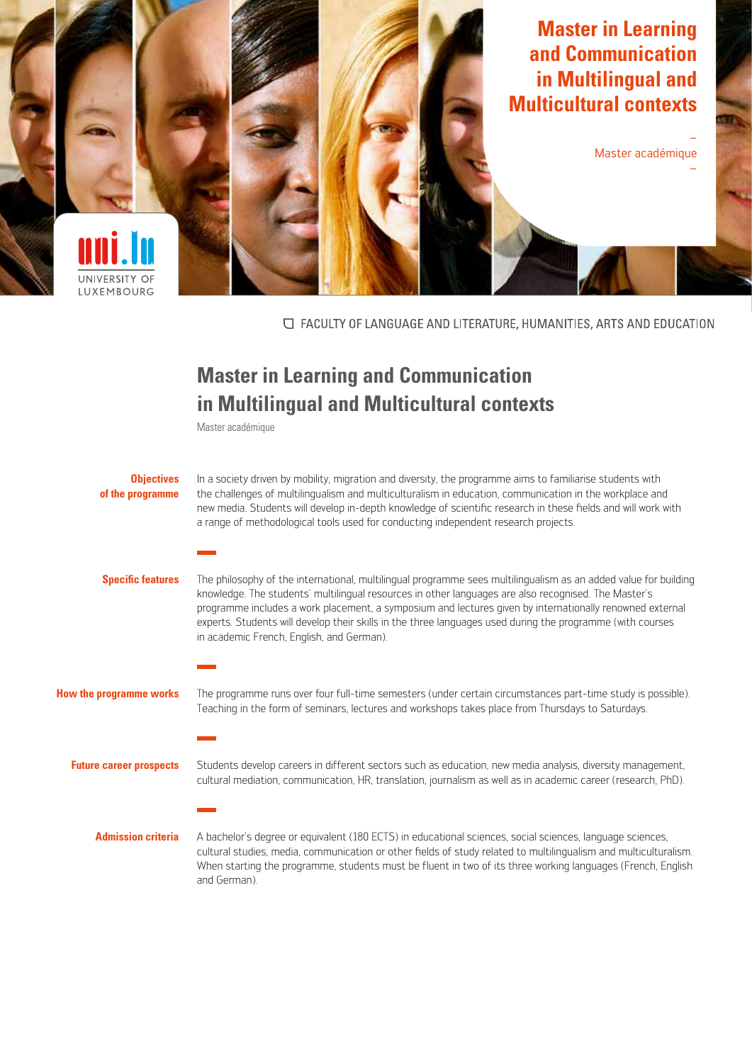

□ FACULTY OF LANGUAGE AND LITERATURE, HUMANITIES, ARTS AND EDUCATION

## **Master in Learning and Communication in Multilingual and Multicultural contexts**

Master académique

| <b>Objectives</b><br>of the programme | In a society driven by mobility, migration and diversity, the programme aims to familiarise students with<br>the challenges of multilingualism and multiculturalism in education, communication in the workplace and<br>new media. Students will develop in-depth knowledge of scientific research in these fields and will work with<br>a range of methodological tools used for conducting independent research projects.                                                                    |
|---------------------------------------|------------------------------------------------------------------------------------------------------------------------------------------------------------------------------------------------------------------------------------------------------------------------------------------------------------------------------------------------------------------------------------------------------------------------------------------------------------------------------------------------|
| <b>Specific features</b>              | The philosophy of the international, multilingual programme sees multilingualism as an added value for building<br>knowledge. The students' multilingual resources in other languages are also recognised. The Master's<br>programme includes a work placement, a symposium and lectures given by internationally renowned external<br>experts. Students will develop their skills in the three languages used during the programme (with courses<br>in academic French, English, and German). |
| <b>How the programme works</b>        | The programme runs over four full-time semesters (under certain circumstances part-time study is possible).<br>Teaching in the form of seminars, lectures and workshops takes place from Thursdays to Saturdays.                                                                                                                                                                                                                                                                               |
| <b>Future career prospects</b>        | Students develop careers in different sectors such as education, new media analysis, diversity management,<br>cultural mediation, communication, HR, translation, journalism as well as in academic career (research, PhD).                                                                                                                                                                                                                                                                    |
| <b>Admission criteria</b>             | A bachelor's degree or equivalent (180 ECTS) in educational sciences, social sciences, language sciences,<br>cultural studies, media, communication or other fields of study related to multilingualism and multiculturalism.<br>When starting the programme, students must be fluent in two of its three working languages (French, English<br>and German).                                                                                                                                   |